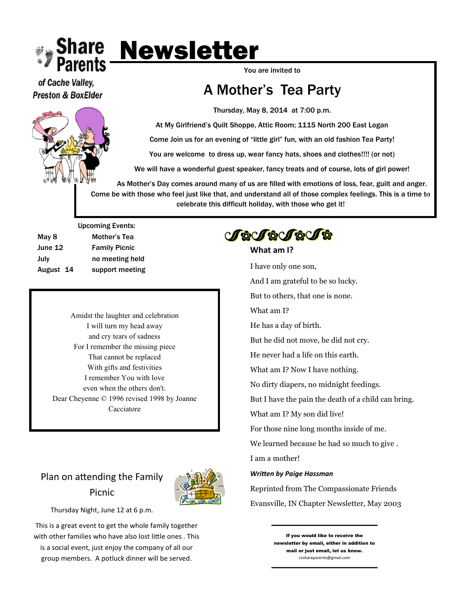

of Cache Valley, **Preston & BoxElder** 



You are invited to

## A Mother's Tea Party

Thursday, May 8, 2014 at 7:00 p.m.

At My Girlfriend's Quilt Shoppe, Attic Room; 1115 North 200 East Logan

Come Join us for an evening of "little girl" fun, with an old fashion Tea Party!

You are welcome to dress up, wear fancy hats, shoes and clothes!!!! (or not)

We will have a wonderful guest speaker, fancy treats and of course, lots of girl power!

As Mother's Day comes around many of us are filled with emotions of loss, fear, guilt and anger. Come be with those who feel just like that, and understand all of those complex feelings. This is a time to celebrate this difficult holiday, with those who get it!

Upcoming Events: May 8 Mother's Tea June 12 Family Picnic July no meeting held August 14 support meeting

> Amidst the laughter and celebration I will turn my head away and cry tears of sadness For I remember the missing piece That cannot be replaced With gifts and festivities I remember You with love even when the others don't. Dear Cheyenne © 1996 revised 1998 by Joanne Cacciatore

## Plan on attending the Family Picnic



Thursday Night, June 12 at 6 p.m.

This is a great event to get the whole family together with other families who have also lost little ones . This is a social event, just enjoy the company of all our group members. A potluck dinner will be served.

# **JeJeJeJe**

### **What am I?**

I have only one son,

And I am grateful to be so lucky.

But to others, that one is none.

What am I?

He has a day of birth.

But he did not move, he did not cry.

He never had a life on this earth.

What am I? Now I have nothing.

No dirty diapers, no midnight feedings.

But I have the pain the death of a child can bring.

What am I? My son did live!

For those nine long months inside of me.

We learned because he had so much to give .

I am a mother!

#### *Written by Paige Hassman*

Reprinted from The Compassionate Friends Evansville, IN Chapter Newsletter, May 2003

> If you would like to receive the newsletter by email, either in addition to mail or just email, let us know. cvshareparents@gmail.com